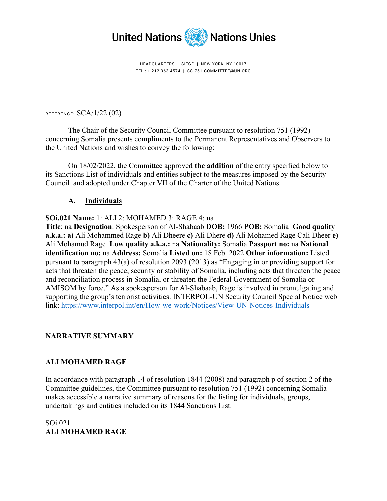

HEADQUARTERS | SIEGE | NEW YORK, NY 10017 TEL.: + 212 963 4574 | SC-751-COMMITTEE@UN.ORG

REFERENCE: SCA/1/22 (02)

The Chair of the Security Council Committee pursuant to resolution 751 (1992) concerning Somalia presents compliments to the Permanent Representatives and Observers to the United Nations and wishes to convey the following:

On 18/02/2022, the Committee approved **the addition** of the entry specified below to its Sanctions List of individuals and entities subject to the measures imposed by the Security Council and adopted under Chapter VII of the Charter of the United Nations.

# **A. Individuals**

# **SOi.021 Name:** 1: ALI 2: MOHAMED 3: RAGE 4: na

**Title**: na **Designation**: Spokesperson of Al-Shabaab **DOB:** 1966 **POB:** Somalia **Good quality a.k.a.: a)** Ali Mohammed Rage **b)** Ali Dheere **c)** Ali Dhere **d)** Ali Mohamed Rage Cali Dheer **e)** Ali Mohamud Rage **Low quality a.k.a.:** na **Nationality:** Somalia **Passport no:** na **National identification no:** na **Address:** Somalia **Listed on:** 18 Feb. 2022 **Other information:** Listed pursuant to paragraph 43(a) of resolution 2093 (2013) as "Engaging in or providing support for acts that threaten the peace, security or stability of Somalia, including acts that threaten the peace and reconciliation process in Somalia, or threaten the Federal Government of Somalia or AMISOM by force." As a spokesperson for Al-Shabaab, Rage is involved in promulgating and supporting the group's terrorist activities. INTERPOL-UN Security Council Special Notice web link:<https://www.interpol.int/en/How-we-work/Notices/View-UN-Notices-Individuals>

# **NARRATIVE SUMMARY**

# **ALI MOHAMED RAGE**

In accordance with paragraph 14 of resolution 1844 (2008) and paragraph p of section 2 of the Committee guidelines, the Committee pursuant to resolution 751 (1992) concerning Somalia makes accessible a narrative summary of reasons for the listing for individuals, groups, undertakings and entities included on its 1844 Sanctions List.

SOi.021 **ALI MOHAMED RAGE**